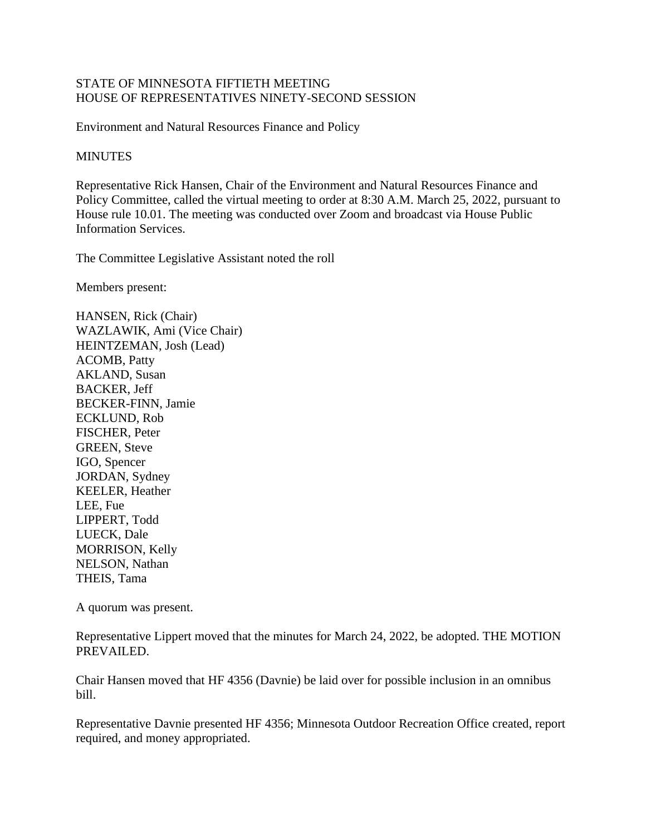## STATE OF MINNESOTA FIFTIETH MEETING HOUSE OF REPRESENTATIVES NINETY-SECOND SESSION

Environment and Natural Resources Finance and Policy

## **MINUTES**

Representative Rick Hansen, Chair of the Environment and Natural Resources Finance and Policy Committee, called the virtual meeting to order at 8:30 A.M. March 25, 2022, pursuant to House rule 10.01. The meeting was conducted over Zoom and broadcast via House Public Information Services.

The Committee Legislative Assistant noted the roll

Members present:

HANSEN, Rick (Chair) WAZLAWIK, Ami (Vice Chair) HEINTZEMAN, Josh (Lead) ACOMB, Patty AKLAND, Susan BACKER, Jeff BECKER-FINN, Jamie ECKLUND, Rob FISCHER, Peter GREEN, Steve IGO, Spencer JORDAN, Sydney KEELER, Heather LEE, Fue LIPPERT, Todd LUECK, Dale MORRISON, Kelly NELSON, Nathan THEIS, Tama

A quorum was present.

Representative Lippert moved that the minutes for March 24, 2022, be adopted. THE MOTION PREVAILED.

Chair Hansen moved that HF 4356 (Davnie) be laid over for possible inclusion in an omnibus bill.

Representative Davnie presented HF 4356; Minnesota Outdoor Recreation Office created, report required, and money appropriated.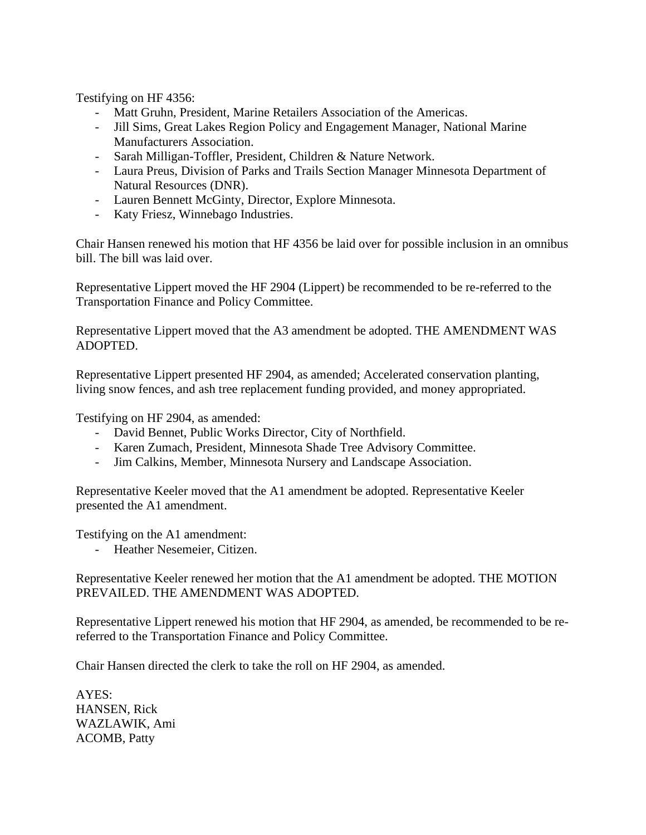Testifying on HF 4356:

- Matt Gruhn, President, Marine Retailers Association of the Americas.
- Jill Sims, Great Lakes Region Policy and Engagement Manager, National Marine Manufacturers Association.
- Sarah Milligan-Toffler, President, Children & Nature Network.
- Laura Preus, Division of Parks and Trails Section Manager Minnesota Department of Natural Resources (DNR).
- Lauren Bennett McGinty, Director, Explore Minnesota.
- Katy Friesz, Winnebago Industries.

Chair Hansen renewed his motion that HF 4356 be laid over for possible inclusion in an omnibus bill. The bill was laid over.

Representative Lippert moved the HF 2904 (Lippert) be recommended to be re-referred to the Transportation Finance and Policy Committee.

Representative Lippert moved that the A3 amendment be adopted. THE AMENDMENT WAS ADOPTED.

Representative Lippert presented HF 2904, as amended; Accelerated conservation planting, living snow fences, and ash tree replacement funding provided, and money appropriated.

Testifying on HF 2904, as amended:

- David Bennet, Public Works Director, City of Northfield.
- Karen Zumach, President, Minnesota Shade Tree Advisory Committee.
- Jim Calkins, Member, Minnesota Nursery and Landscape Association.

Representative Keeler moved that the A1 amendment be adopted. Representative Keeler presented the A1 amendment.

Testifying on the A1 amendment:

- Heather Nesemeier, Citizen.

Representative Keeler renewed her motion that the A1 amendment be adopted. THE MOTION PREVAILED. THE AMENDMENT WAS ADOPTED.

Representative Lippert renewed his motion that HF 2904, as amended, be recommended to be rereferred to the Transportation Finance and Policy Committee.

Chair Hansen directed the clerk to take the roll on HF 2904, as amended.

AYES: HANSEN, Rick WAZLAWIK, Ami ACOMB, Patty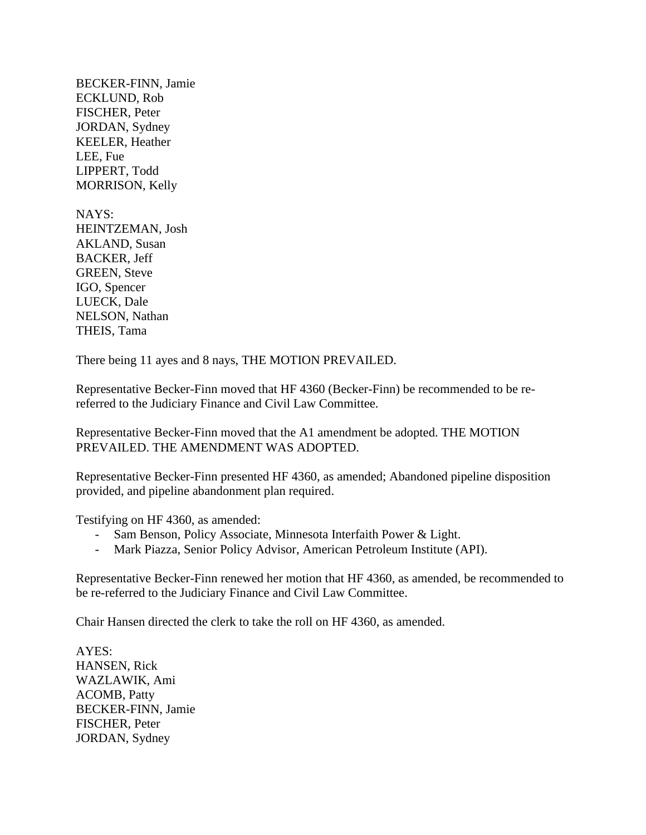BECKER-FINN, Jamie ECKLUND, Rob FISCHER, Peter JORDAN, Sydney KEELER, Heather LEE, Fue LIPPERT, Todd MORRISON, Kelly

NAYS: HEINTZEMAN, Josh AKLAND, Susan BACKER, Jeff GREEN, Steve IGO, Spencer LUECK, Dale NELSON, Nathan THEIS, Tama

There being 11 ayes and 8 nays, THE MOTION PREVAILED.

Representative Becker-Finn moved that HF 4360 (Becker-Finn) be recommended to be rereferred to the Judiciary Finance and Civil Law Committee.

Representative Becker-Finn moved that the A1 amendment be adopted. THE MOTION PREVAILED. THE AMENDMENT WAS ADOPTED.

Representative Becker-Finn presented HF 4360, as amended; Abandoned pipeline disposition provided, and pipeline abandonment plan required.

Testifying on HF 4360, as amended:

- Sam Benson, Policy Associate, Minnesota Interfaith Power & Light.
- Mark Piazza, Senior Policy Advisor, American Petroleum Institute (API).

Representative Becker-Finn renewed her motion that HF 4360, as amended, be recommended to be re-referred to the Judiciary Finance and Civil Law Committee.

Chair Hansen directed the clerk to take the roll on HF 4360, as amended.

AYES: HANSEN, Rick WAZLAWIK, Ami ACOMB, Patty BECKER-FINN, Jamie FISCHER, Peter JORDAN, Sydney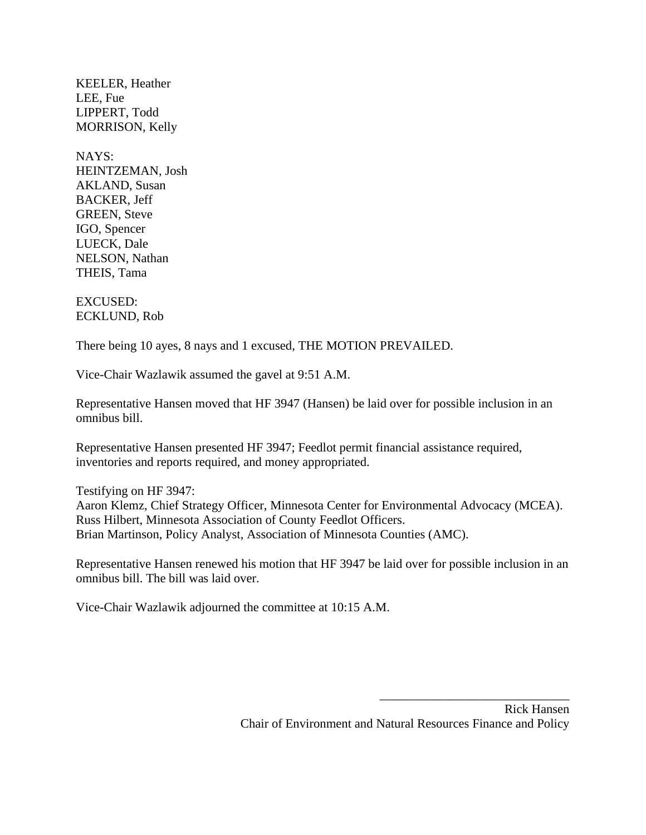KEELER, Heather LEE, Fue LIPPERT, Todd MORRISON, Kelly

NAYS: HEINTZEMAN, Josh AKLAND, Susan BACKER, Jeff GREEN, Steve IGO, Spencer LUECK, Dale NELSON, Nathan THEIS, Tama

EXCUSED: ECKLUND, Rob

There being 10 ayes, 8 nays and 1 excused, THE MOTION PREVAILED.

Vice-Chair Wazlawik assumed the gavel at 9:51 A.M.

Representative Hansen moved that HF 3947 (Hansen) be laid over for possible inclusion in an omnibus bill.

Representative Hansen presented HF 3947; Feedlot permit financial assistance required, inventories and reports required, and money appropriated.

Testifying on HF 3947: Aaron Klemz, Chief Strategy Officer, Minnesota Center for Environmental Advocacy (MCEA). Russ Hilbert, Minnesota Association of County Feedlot Officers. Brian Martinson, Policy Analyst, Association of Minnesota Counties (AMC).

Representative Hansen renewed his motion that HF 3947 be laid over for possible inclusion in an omnibus bill. The bill was laid over.

Vice-Chair Wazlawik adjourned the committee at 10:15 A.M.

\_\_\_\_\_\_\_\_\_\_\_\_\_\_\_\_\_\_\_\_\_\_\_\_\_\_\_\_\_\_